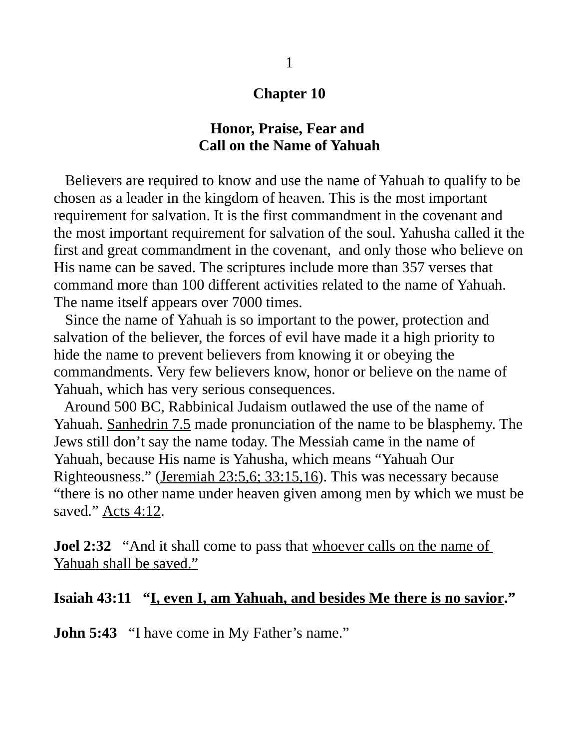## **Chapter 10**

# **Honor, Praise, Fear and Call on the Name of Yahuah**

 Believers are required to know and use the name of Yahuah to qualify to be chosen as a leader in the kingdom of heaven. This is the most important requirement for salvation. It is the first commandment in the covenant and the most important requirement for salvation of the soul. Yahusha called it the first and great commandment in the covenant, and only those who believe on His name can be saved. The scriptures include more than 357 verses that command more than 100 different activities related to the name of Yahuah. The name itself appears over 7000 times.

 Since the name of Yahuah is so important to the power, protection and salvation of the believer, the forces of evil have made it a high priority to hide the name to prevent believers from knowing it or obeying the commandments. Very few believers know, honor or believe on the name of Yahuah, which has very serious consequences.

 Around 500 BC, Rabbinical Judaism outlawed the use of the name of Yahuah. Sanhedrin 7.5 made pronunciation of the name to be blasphemy. The Jews still don't say the name today. The Messiah came in the name of Yahuah, because His name is Yahusha, which means "Yahuah Our Righteousness." (Jeremiah 23:5,6; 33:15,16). This was necessary because "there is no other name under heaven given among men by which we must be saved." Acts 4:12.

**Joel 2:32** "And it shall come to pass that whoever calls on the name of Yahuah shall be saved."

#### **Isaiah 43:11 "I, even I, am Yahuah, and besides Me there is no savior."**

**John 5:43** "I have come in My Father's name."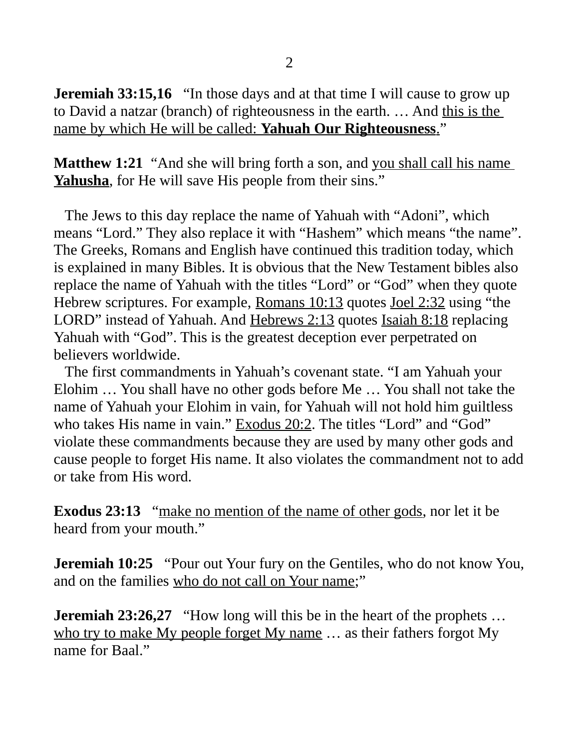**Jeremiah 33:15,16** "In those days and at that time I will cause to grow up to David a natzar (branch) of righteousness in the earth. … And this is the name by which He will be called: **Yahuah Our Righteousness**."

**Matthew 1:21** "And she will bring forth a son, and you shall call his name Yahusha, for He will save His people from their sins."

 The Jews to this day replace the name of Yahuah with "Adoni", which means "Lord." They also replace it with "Hashem" which means "the name". The Greeks, Romans and English have continued this tradition today, which is explained in many Bibles. It is obvious that the New Testament bibles also replace the name of Yahuah with the titles "Lord" or "God" when they quote Hebrew scriptures. For example, Romans 10:13 quotes Joel 2:32 using "the LORD" instead of Yahuah. And Hebrews 2:13 quotes Isaiah 8:18 replacing Yahuah with "God". This is the greatest deception ever perpetrated on believers worldwide.

 The first commandments in Yahuah's covenant state. "I am Yahuah your Elohim … You shall have no other gods before Me … You shall not take the name of Yahuah your Elohim in vain, for Yahuah will not hold him guiltless who takes His name in vain." Exodus 20:2. The titles "Lord" and "God" violate these commandments because they are used by many other gods and cause people to forget His name. It also violates the commandment not to add or take from His word.

**Exodus 23:13** "make no mention of the name of other gods, nor let it be heard from your mouth."

**Jeremiah 10:25** "Pour out Your fury on the Gentiles, who do not know You, and on the families who do not call on Your name;"

**Jeremiah 23:26,27** "How long will this be in the heart of the prophets ... who try to make My people forget My name … as their fathers forgot My name for Baal."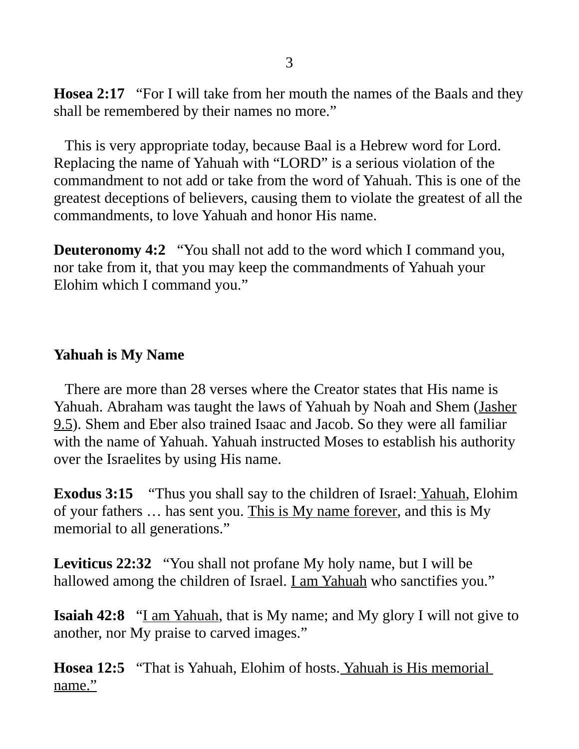**Hosea 2:17** "For I will take from her mouth the names of the Baals and they shall be remembered by their names no more."

 This is very appropriate today, because Baal is a Hebrew word for Lord. Replacing the name of Yahuah with "LORD" is a serious violation of the commandment to not add or take from the word of Yahuah. This is one of the greatest deceptions of believers, causing them to violate the greatest of all the commandments, to love Yahuah and honor His name.

**Deuteronomy 4:2** "You shall not add to the word which I command you, nor take from it, that you may keep the commandments of Yahuah your Elohim which I command you."

## **Yahuah is My Name**

 There are more than 28 verses where the Creator states that His name is Yahuah. Abraham was taught the laws of Yahuah by Noah and Shem (Jasher 9.5). Shem and Eber also trained Isaac and Jacob. So they were all familiar with the name of Yahuah. Yahuah instructed Moses to establish his authority over the Israelites by using His name.

**Exodus 3:15** "Thus you shall say to the children of Israel: Yahuah, Elohim of your fathers … has sent you. This is My name forever, and this is My memorial to all generations."

**Leviticus 22:32** "You shall not profane My holy name, but I will be hallowed among the children of Israel. **I am Yahuah** who sanctifies you."

**Isaiah 42:8** "I am Yahuah, that is My name; and My glory I will not give to another, nor My praise to carved images."

**Hosea 12:5** "That is Yahuah, Elohim of hosts. Yahuah is His memorial name."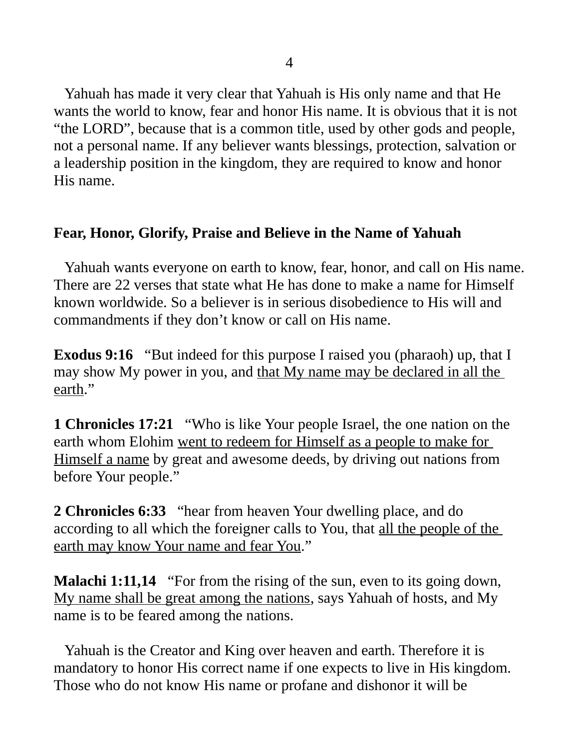Yahuah has made it very clear that Yahuah is His only name and that He wants the world to know, fear and honor His name. It is obvious that it is not "the LORD", because that is a common title, used by other gods and people, not a personal name. If any believer wants blessings, protection, salvation or a leadership position in the kingdom, they are required to know and honor His name.

# **Fear, Honor, Glorify, Praise and Believe in the Name of Yahuah**

 Yahuah wants everyone on earth to know, fear, honor, and call on His name. There are 22 verses that state what He has done to make a name for Himself known worldwide. So a believer is in serious disobedience to His will and commandments if they don't know or call on His name.

**Exodus 9:16** "But indeed for this purpose I raised you (pharaoh) up, that I may show My power in you, and that My name may be declared in all the earth."

**1 Chronicles 17:21** "Who is like Your people Israel, the one nation on the earth whom Elohim went to redeem for Himself as a people to make for Himself a name by great and awesome deeds, by driving out nations from before Your people."

**2 Chronicles 6:33** "hear from heaven Your dwelling place, and do according to all which the foreigner calls to You, that all the people of the earth may know Your name and fear You."

**Malachi 1:11,14** "For from the rising of the sun, even to its going down, My name shall be great among the nations, says Yahuah of hosts, and My name is to be feared among the nations.

 Yahuah is the Creator and King over heaven and earth. Therefore it is mandatory to honor His correct name if one expects to live in His kingdom. Those who do not know His name or profane and dishonor it will be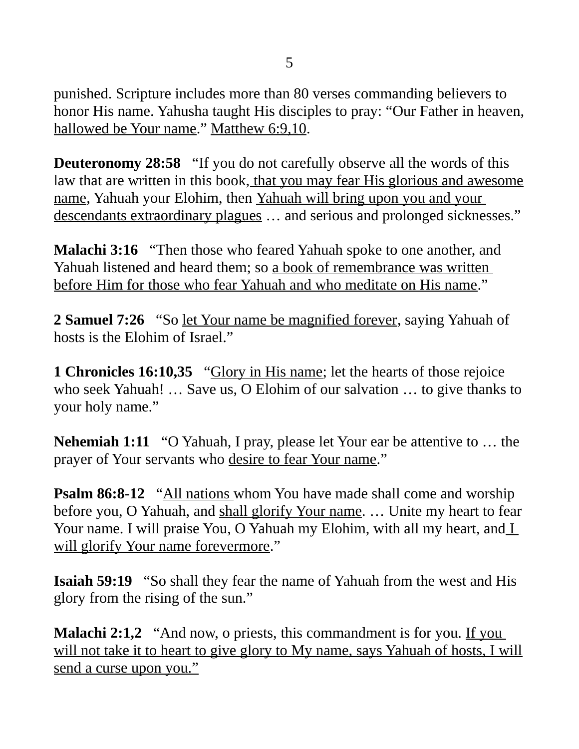punished. Scripture includes more than 80 verses commanding believers to honor His name. Yahusha taught His disciples to pray: "Our Father in heaven, hallowed be Your name." Matthew 6:9,10.

**Deuteronomy 28:58** "If you do not carefully observe all the words of this law that are written in this book, that you may fear His glorious and awesome name, Yahuah your Elohim, then Yahuah will bring upon you and your descendants extraordinary plagues … and serious and prolonged sicknesses."

**Malachi 3:16** "Then those who feared Yahuah spoke to one another, and Yahuah listened and heard them; so a book of remembrance was written before Him for those who fear Yahuah and who meditate on His name."

**2 Samuel 7:26** "So let Your name be magnified forever, saying Yahuah of hosts is the Elohim of Israel."

**1 Chronicles 16:10,35** "Glory in His name; let the hearts of those rejoice who seek Yahuah! … Save us, O Elohim of our salvation … to give thanks to your holy name."

**Nehemiah 1:11** "O Yahuah, I pray, please let Your ear be attentive to … the prayer of Your servants who desire to fear Your name."

**Psalm 86:8-12** "All nations whom You have made shall come and worship before you, O Yahuah, and shall glorify Your name. ... Unite my heart to fear Your name. I will praise You, O Yahuah my Elohim, with all my heart, and *I* will glorify Your name forevermore."

**Isaiah 59:19** "So shall they fear the name of Yahuah from the west and His glory from the rising of the sun."

**Malachi 2:1,2** "And now, o priests, this commandment is for you. If you will not take it to heart to give glory to My name, says Yahuah of hosts, I will send a curse upon you."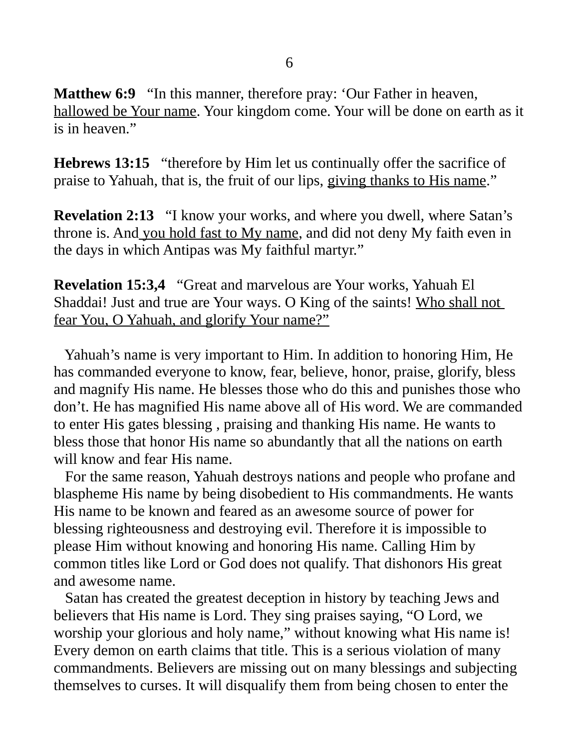**Matthew 6:9** "In this manner, therefore pray: 'Our Father in heaven, hallowed be Your name. Your kingdom come. Your will be done on earth as it is in heaven."

**Hebrews 13:15** "therefore by Him let us continually offer the sacrifice of praise to Yahuah, that is, the fruit of our lips, giving thanks to His name."

**Revelation 2:13** "I know your works, and where you dwell, where Satan's throne is. And you hold fast to My name, and did not deny My faith even in the days in which Antipas was My faithful martyr."

**Revelation 15:3,4** "Great and marvelous are Your works, Yahuah El Shaddai! Just and true are Your ways. O King of the saints! Who shall not fear You, O Yahuah, and glorify Your name?"

 Yahuah's name is very important to Him. In addition to honoring Him, He has commanded everyone to know, fear, believe, honor, praise, glorify, bless and magnify His name. He blesses those who do this and punishes those who don't. He has magnified His name above all of His word. We are commanded to enter His gates blessing , praising and thanking His name. He wants to bless those that honor His name so abundantly that all the nations on earth will know and fear His name.

 For the same reason, Yahuah destroys nations and people who profane and blaspheme His name by being disobedient to His commandments. He wants His name to be known and feared as an awesome source of power for blessing righteousness and destroying evil. Therefore it is impossible to please Him without knowing and honoring His name. Calling Him by common titles like Lord or God does not qualify. That dishonors His great and awesome name.

 Satan has created the greatest deception in history by teaching Jews and believers that His name is Lord. They sing praises saying, "O Lord, we worship your glorious and holy name," without knowing what His name is! Every demon on earth claims that title. This is a serious violation of many commandments. Believers are missing out on many blessings and subjecting themselves to curses. It will disqualify them from being chosen to enter the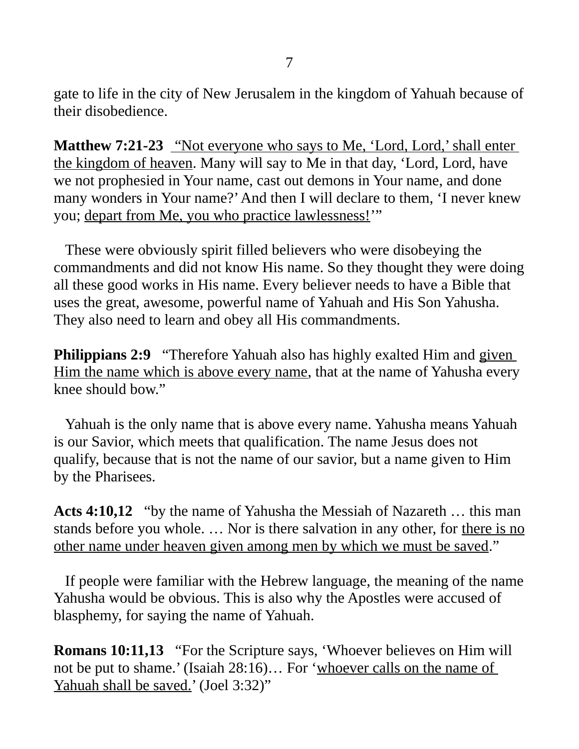gate to life in the city of New Jerusalem in the kingdom of Yahuah because of their disobedience.

**Matthew 7:21-23** "Not everyone who says to Me, 'Lord, Lord,' shall enter the kingdom of heaven. Many will say to Me in that day, 'Lord, Lord, have we not prophesied in Your name, cast out demons in Your name, and done many wonders in Your name?' And then I will declare to them, 'I never knew you; depart from Me, you who practice lawlessness!"

 These were obviously spirit filled believers who were disobeying the commandments and did not know His name. So they thought they were doing all these good works in His name. Every believer needs to have a Bible that uses the great, awesome, powerful name of Yahuah and His Son Yahusha. They also need to learn and obey all His commandments.

**Philippians 2:9** "Therefore Yahuah also has highly exalted Him and given Him the name which is above every name, that at the name of Yahusha every knee should bow."

 Yahuah is the only name that is above every name. Yahusha means Yahuah is our Savior, which meets that qualification. The name Jesus does not qualify, because that is not the name of our savior, but a name given to Him by the Pharisees.

**Acts 4:10,12** "by the name of Yahusha the Messiah of Nazareth … this man stands before you whole. … Nor is there salvation in any other, for there is no other name under heaven given among men by which we must be saved."

 If people were familiar with the Hebrew language, the meaning of the name Yahusha would be obvious. This is also why the Apostles were accused of blasphemy, for saying the name of Yahuah.

**Romans 10:11,13** "For the Scripture says, 'Whoever believes on Him will not be put to shame.' (Isaiah 28:16)... For 'whoever calls on the name of Yahuah shall be saved.' (Joel 3:32)"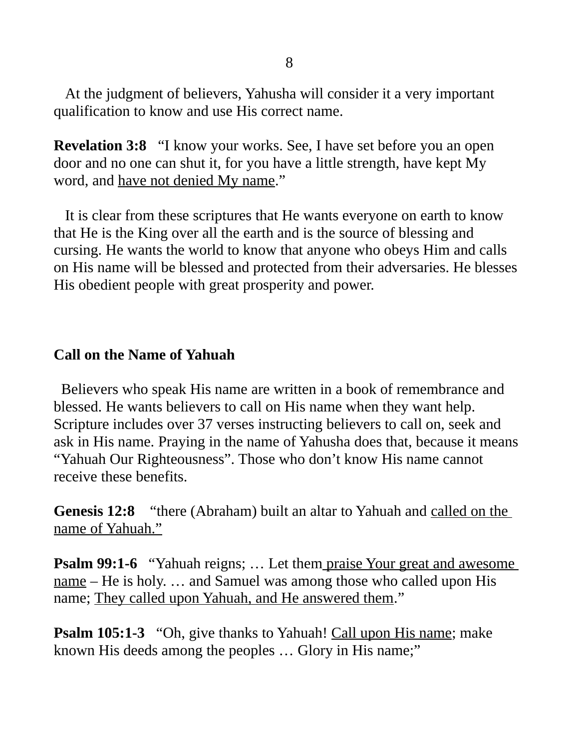At the judgment of believers, Yahusha will consider it a very important qualification to know and use His correct name.

**Revelation 3:8** "I know your works. See, I have set before you an open door and no one can shut it, for you have a little strength, have kept My word, and have not denied My name."

 It is clear from these scriptures that He wants everyone on earth to know that He is the King over all the earth and is the source of blessing and cursing. He wants the world to know that anyone who obeys Him and calls on His name will be blessed and protected from their adversaries. He blesses His obedient people with great prosperity and power.

## **Call on the Name of Yahuah**

 Believers who speak His name are written in a book of remembrance and blessed. He wants believers to call on His name when they want help. Scripture includes over 37 verses instructing believers to call on, seek and ask in His name. Praying in the name of Yahusha does that, because it means "Yahuah Our Righteousness". Those who don't know His name cannot receive these benefits.

**Genesis 12:8** "there (Abraham) built an altar to Yahuah and called on the name of Yahuah."

**Psalm 99:1-6** "Yahuah reigns; ... Let them praise Your great and awesome name – He is holy. ... and Samuel was among those who called upon His name; They called upon Yahuah, and He answered them."

**Psalm 105:1-3** "Oh, give thanks to Yahuah! Call upon His name; make known His deeds among the peoples … Glory in His name;"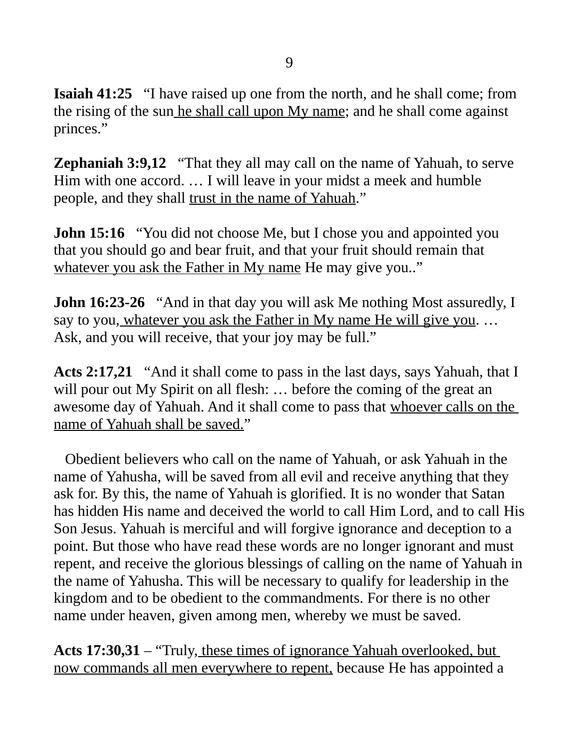**Isaiah 41:25** "I have raised up one from the north, and he shall come; from the rising of the sun he shall call upon My name; and he shall come against princes."

**Zephaniah 3:9,12** "That they all may call on the name of Yahuah, to serve Him with one accord. … I will leave in your midst a meek and humble people, and they shall trust in the name of Yahuah."

**John 15:16** "You did not choose Me, but I chose you and appointed you that you should go and bear fruit, and that your fruit should remain that whatever you ask the Father in My name He may give you.."

**John 16:23-26** "And in that day you will ask Me nothing Most assuredly, I say to you, whatever you ask the Father in My name He will give you. ... Ask, and you will receive, that your joy may be full."

**Acts 2:17,21** "And it shall come to pass in the last days, says Yahuah, that I will pour out My Spirit on all flesh: ... before the coming of the great an awesome day of Yahuah. And it shall come to pass that whoever calls on the name of Yahuah shall be saved."

 Obedient believers who call on the name of Yahuah, or ask Yahuah in the name of Yahusha, will be saved from all evil and receive anything that they ask for. By this, the name of Yahuah is glorified. It is no wonder that Satan has hidden His name and deceived the world to call Him Lord, and to call His Son Jesus. Yahuah is merciful and will forgive ignorance and deception to a point. But those who have read these words are no longer ignorant and must repent, and receive the glorious blessings of calling on the name of Yahuah in the name of Yahusha. This will be necessary to qualify for leadership in the kingdom and to be obedient to the commandments. For there is no other name under heaven, given among men, whereby we must be saved.

**Acts 17:30,31** – "Truly, these times of ignorance Yahuah overlooked, but now commands all men everywhere to repent, because He has appointed a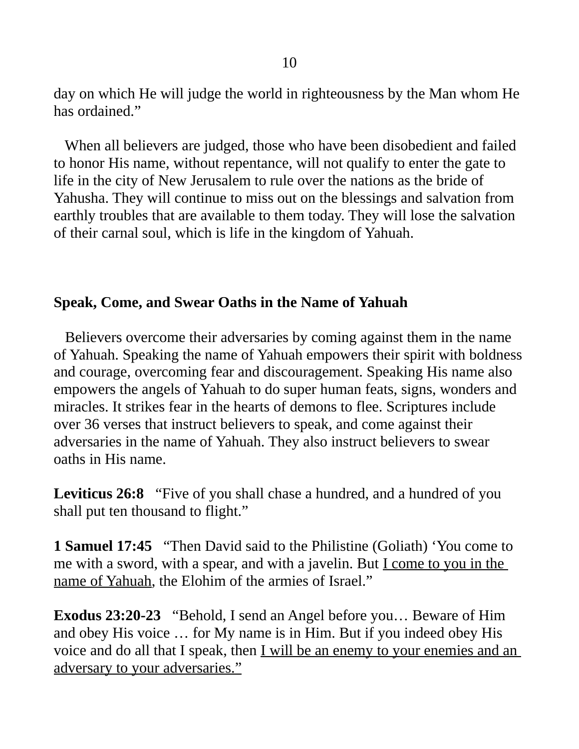day on which He will judge the world in righteousness by the Man whom He has ordained."

 When all believers are judged, those who have been disobedient and failed to honor His name, without repentance, will not qualify to enter the gate to life in the city of New Jerusalem to rule over the nations as the bride of Yahusha. They will continue to miss out on the blessings and salvation from earthly troubles that are available to them today. They will lose the salvation of their carnal soul, which is life in the kingdom of Yahuah.

## **Speak, Come, and Swear Oaths in the Name of Yahuah**

 Believers overcome their adversaries by coming against them in the name of Yahuah. Speaking the name of Yahuah empowers their spirit with boldness and courage, overcoming fear and discouragement. Speaking His name also empowers the angels of Yahuah to do super human feats, signs, wonders and miracles. It strikes fear in the hearts of demons to flee. Scriptures include over 36 verses that instruct believers to speak, and come against their adversaries in the name of Yahuah. They also instruct believers to swear oaths in His name.

**Leviticus 26:8** "Five of you shall chase a hundred, and a hundred of you shall put ten thousand to flight."

**1 Samuel 17:45** "Then David said to the Philistine (Goliath) 'You come to me with a sword, with a spear, and with a javelin. But I come to you in the name of Yahuah, the Elohim of the armies of Israel."

**Exodus 23:20-23** "Behold, I send an Angel before you… Beware of Him and obey His voice … for My name is in Him. But if you indeed obey His voice and do all that I speak, then <u>I will be an enemy to your enemies and an</u> adversary to your adversaries."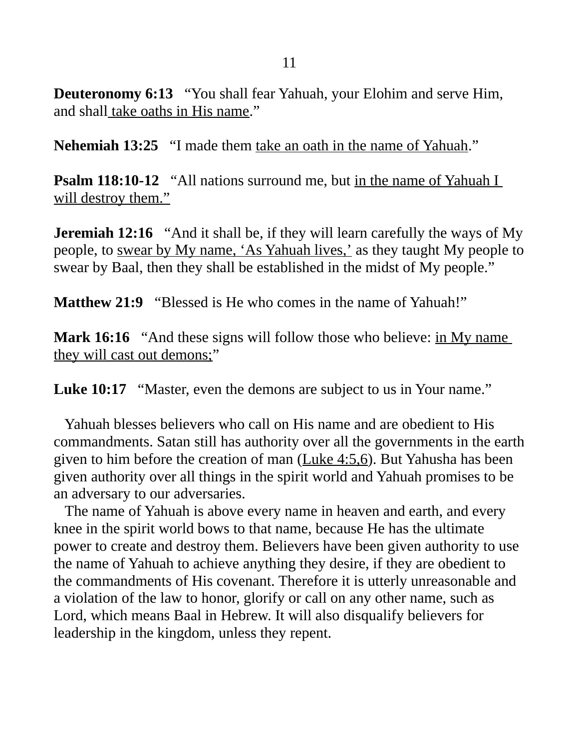**Deuteronomy 6:13** "You shall fear Yahuah, your Elohim and serve Him, and shall take oaths in His name."

**Nehemiah 13:25** "I made them take an oath in the name of Yahuah."

**Psalm 118:10-12** "All nations surround me, but in the name of Yahuah I will destroy them."

**Jeremiah 12:16** "And it shall be, if they will learn carefully the ways of My people, to swear by My name, 'As Yahuah lives,' as they taught My people to swear by Baal, then they shall be established in the midst of My people."

**Matthew 21:9** "Blessed is He who comes in the name of Yahuah!"

**Mark 16:16** "And these signs will follow those who believe: in My name they will cast out demons;"

**Luke 10:17** "Master, even the demons are subject to us in Your name."

 Yahuah blesses believers who call on His name and are obedient to His commandments. Satan still has authority over all the governments in the earth given to him before the creation of man (Luke 4:5,6). But Yahusha has been given authority over all things in the spirit world and Yahuah promises to be an adversary to our adversaries.

 The name of Yahuah is above every name in heaven and earth, and every knee in the spirit world bows to that name, because He has the ultimate power to create and destroy them. Believers have been given authority to use the name of Yahuah to achieve anything they desire, if they are obedient to the commandments of His covenant. Therefore it is utterly unreasonable and a violation of the law to honor, glorify or call on any other name, such as Lord, which means Baal in Hebrew. It will also disqualify believers for leadership in the kingdom, unless they repent.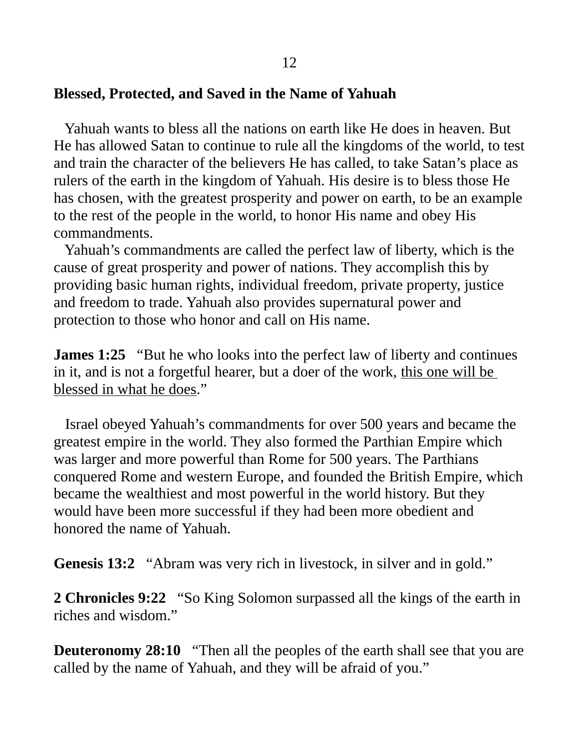# **Blessed, Protected, and Saved in the Name of Yahuah**

 Yahuah wants to bless all the nations on earth like He does in heaven. But He has allowed Satan to continue to rule all the kingdoms of the world, to test and train the character of the believers He has called, to take Satan's place as rulers of the earth in the kingdom of Yahuah. His desire is to bless those He has chosen, with the greatest prosperity and power on earth, to be an example to the rest of the people in the world, to honor His name and obey His commandments.

 Yahuah's commandments are called the perfect law of liberty, which is the cause of great prosperity and power of nations. They accomplish this by providing basic human rights, individual freedom, private property, justice and freedom to trade. Yahuah also provides supernatural power and protection to those who honor and call on His name.

**James 1:25** "But he who looks into the perfect law of liberty and continues in it, and is not a forgetful hearer, but a doer of the work, this one will be blessed in what he does."

 Israel obeyed Yahuah's commandments for over 500 years and became the greatest empire in the world. They also formed the Parthian Empire which was larger and more powerful than Rome for 500 years. The Parthians conquered Rome and western Europe, and founded the British Empire, which became the wealthiest and most powerful in the world history. But they would have been more successful if they had been more obedient and honored the name of Yahuah.

**Genesis 13:2** "Abram was very rich in livestock, in silver and in gold."

**2 Chronicles 9:22** "So King Solomon surpassed all the kings of the earth in riches and wisdom."

**Deuteronomy 28:10** "Then all the peoples of the earth shall see that you are called by the name of Yahuah, and they will be afraid of you."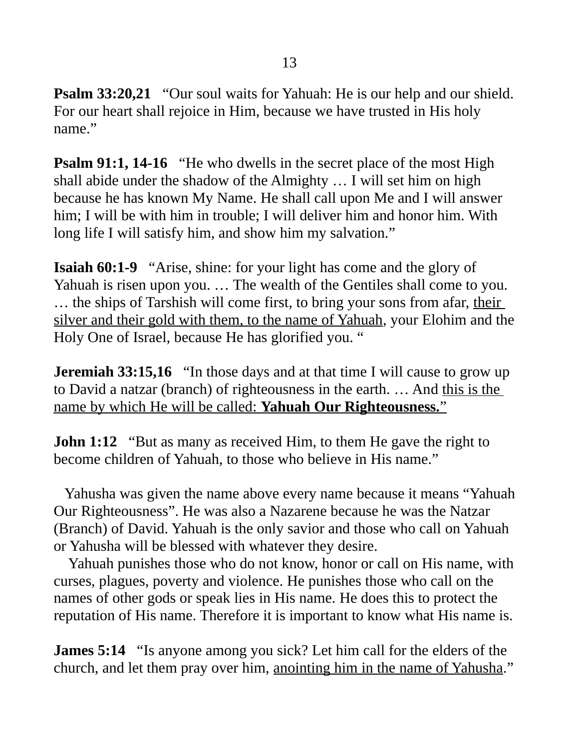**Psalm 33:20,21** "Our soul waits for Yahuah: He is our help and our shield. For our heart shall rejoice in Him, because we have trusted in His holy name."

**Psalm 91:1, 14-16** "He who dwells in the secret place of the most High shall abide under the shadow of the Almighty … I will set him on high because he has known My Name. He shall call upon Me and I will answer him; I will be with him in trouble; I will deliver him and honor him. With long life I will satisfy him, and show him my salvation."

**Isaiah 60:1-9** "Arise, shine: for your light has come and the glory of Yahuah is risen upon you. … The wealth of the Gentiles shall come to you. ... the ships of Tarshish will come first, to bring your sons from afar, their silver and their gold with them, to the name of Yahuah, your Elohim and the Holy One of Israel, because He has glorified you. "

**Jeremiah 33:15,16** "In those days and at that time I will cause to grow up to David a natzar (branch) of righteousness in the earth. … And this is the name by which He will be called: **Yahuah Our Righteousness.** "

**John 1:12** "But as many as received Him, to them He gave the right to become children of Yahuah, to those who believe in His name."

 Yahusha was given the name above every name because it means "Yahuah Our Righteousness". He was also a Nazarene because he was the Natzar (Branch) of David. Yahuah is the only savior and those who call on Yahuah or Yahusha will be blessed with whatever they desire.

 Yahuah punishes those who do not know, honor or call on His name, with curses, plagues, poverty and violence. He punishes those who call on the names of other gods or speak lies in His name. He does this to protect the reputation of His name. Therefore it is important to know what His name is.

**James 5:14** "Is anyone among you sick? Let him call for the elders of the church, and let them pray over him, anointing him in the name of Yahusha."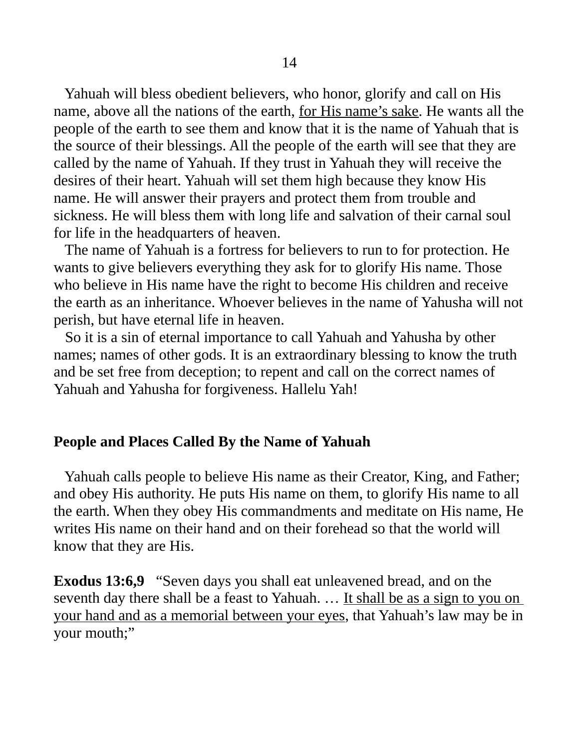Yahuah will bless obedient believers, who honor, glorify and call on His name, above all the nations of the earth, for His name's sake. He wants all the people of the earth to see them and know that it is the name of Yahuah that is the source of their blessings. All the people of the earth will see that they are called by the name of Yahuah. If they trust in Yahuah they will receive the desires of their heart. Yahuah will set them high because they know His name. He will answer their prayers and protect them from trouble and sickness. He will bless them with long life and salvation of their carnal soul for life in the headquarters of heaven.

 The name of Yahuah is a fortress for believers to run to for protection. He wants to give believers everything they ask for to glorify His name. Those who believe in His name have the right to become His children and receive the earth as an inheritance. Whoever believes in the name of Yahusha will not perish, but have eternal life in heaven.

 So it is a sin of eternal importance to call Yahuah and Yahusha by other names; names of other gods. It is an extraordinary blessing to know the truth and be set free from deception; to repent and call on the correct names of Yahuah and Yahusha for forgiveness. Hallelu Yah!

#### **People and Places Called By the Name of Yahuah**

 Yahuah calls people to believe His name as their Creator, King, and Father; and obey His authority. He puts His name on them, to glorify His name to all the earth. When they obey His commandments and meditate on His name, He writes His name on their hand and on their forehead so that the world will know that they are His.

**Exodus 13:6,9** "Seven days you shall eat unleavened bread, and on the seventh day there shall be a feast to Yahuah. … It shall be as a sign to you on your hand and as a memorial between your eyes, that Yahuah's law may be in your mouth;"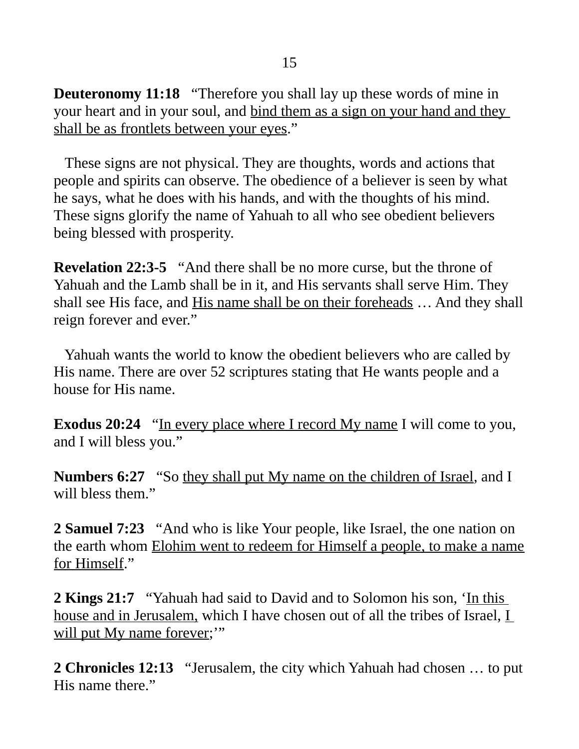**Deuteronomy 11:18** "Therefore you shall lay up these words of mine in your heart and in your soul, and bind them as a sign on your hand and they shall be as frontlets between your eyes."

 These signs are not physical. They are thoughts, words and actions that people and spirits can observe. The obedience of a believer is seen by what he says, what he does with his hands, and with the thoughts of his mind. These signs glorify the name of Yahuah to all who see obedient believers being blessed with prosperity.

**Revelation 22:3-5** "And there shall be no more curse, but the throne of Yahuah and the Lamb shall be in it, and His servants shall serve Him. They shall see His face, and His name shall be on their foreheads … And they shall reign forever and ever."

 Yahuah wants the world to know the obedient believers who are called by His name. There are over 52 scriptures stating that He wants people and a house for His name.

**Exodus 20:24** "In every place where I record My name I will come to you, and I will bless you."

**Numbers 6:27** "So they shall put My name on the children of Israel, and I will bless them."

**2 Samuel 7:23** "And who is like Your people, like Israel, the one nation on the earth whom Elohim went to redeem for Himself a people, to make a name for Himself."

**2 Kings 21:7** "Yahuah had said to David and to Solomon his son, 'In this house and in Jerusalem, which I have chosen out of all the tribes of Israel, I will put My name forever;"

**2 Chronicles 12:13** "Jerusalem, the city which Yahuah had chosen … to put His name there."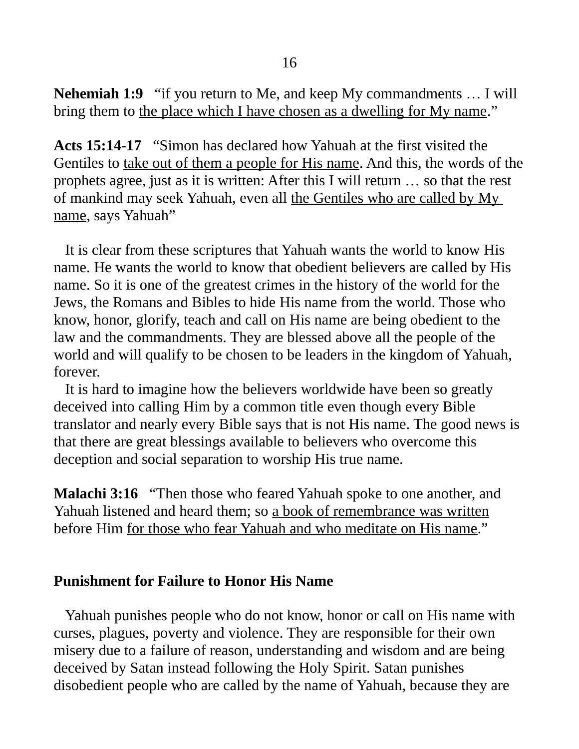**Nehemiah 1:9** "if you return to Me, and keep My commandments … I will bring them to the place which I have chosen as a dwelling for My name."

**Acts 15:14-17** "Simon has declared how Yahuah at the first visited the Gentiles to take out of them a people for His name. And this, the words of the prophets agree, just as it is written: After this I will return … so that the rest of mankind may seek Yahuah, even all the Gentiles who are called by My name, says Yahuah"

 It is clear from these scriptures that Yahuah wants the world to know His name. He wants the world to know that obedient believers are called by His name. So it is one of the greatest crimes in the history of the world for the Jews, the Romans and Bibles to hide His name from the world. Those who know, honor, glorify, teach and call on His name are being obedient to the law and the commandments. They are blessed above all the people of the world and will qualify to be chosen to be leaders in the kingdom of Yahuah, forever.

 It is hard to imagine how the believers worldwide have been so greatly deceived into calling Him by a common title even though every Bible translator and nearly every Bible says that is not His name. The good news is that there are great blessings available to believers who overcome this deception and social separation to worship His true name.

**Malachi 3:16** "Then those who feared Yahuah spoke to one another, and Yahuah listened and heard them; so a book of remembrance was written before Him for those who fear Yahuah and who meditate on His name."

## **Punishment for Failure to Honor His Name**

Yahuah punishes people who do not know, honor or call on His name with curses, plagues, poverty and violence. They are responsible for their own misery due to a failure of reason, understanding and wisdom and are being deceived by Satan instead following the Holy Spirit. Satan punishes disobedient people who are called by the name of Yahuah, because they are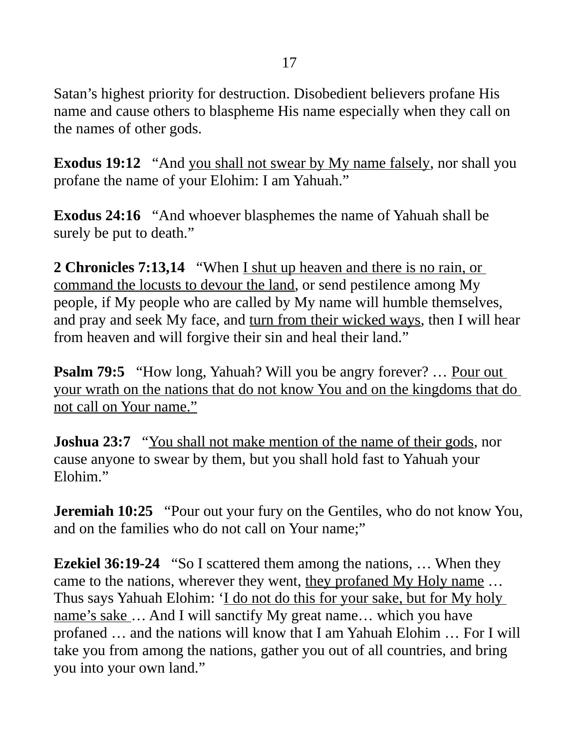Satan's highest priority for destruction. Disobedient believers profane His name and cause others to blaspheme His name especially when they call on the names of other gods.

**Exodus 19:12** "And you shall not swear by My name falsely, nor shall you profane the name of your Elohim: I am Yahuah."

**Exodus 24:16** "And whoever blasphemes the name of Yahuah shall be surely be put to death."

**2 Chronicles 7:13,14** "When I shut up heaven and there is no rain, or command the locusts to devour the land, or send pestilence among My people, if My people who are called by My name will humble themselves, and pray and seek My face, and turn from their wicked ways, then I will hear from heaven and will forgive their sin and heal their land."

**Psalm 79:5** "How long, Yahuah? Will you be angry forever? ... Pour out your wrath on the nations that do not know You and on the kingdoms that do not call on Your name."

**Joshua 23:7** "You shall not make mention of the name of their gods, nor cause anyone to swear by them, but you shall hold fast to Yahuah your Elohim."

**Jeremiah 10:25** "Pour out your fury on the Gentiles, who do not know You, and on the families who do not call on Your name;"

**Ezekiel 36:19-24** "So I scattered them among the nations, … When they came to the nations, wherever they went, they profaned My Holy name ... Thus says Yahuah Elohim: 'I do not do this for your sake, but for My holy name's sake ... And I will sanctify My great name... which you have profaned … and the nations will know that I am Yahuah Elohim … For I will take you from among the nations, gather you out of all countries, and bring you into your own land."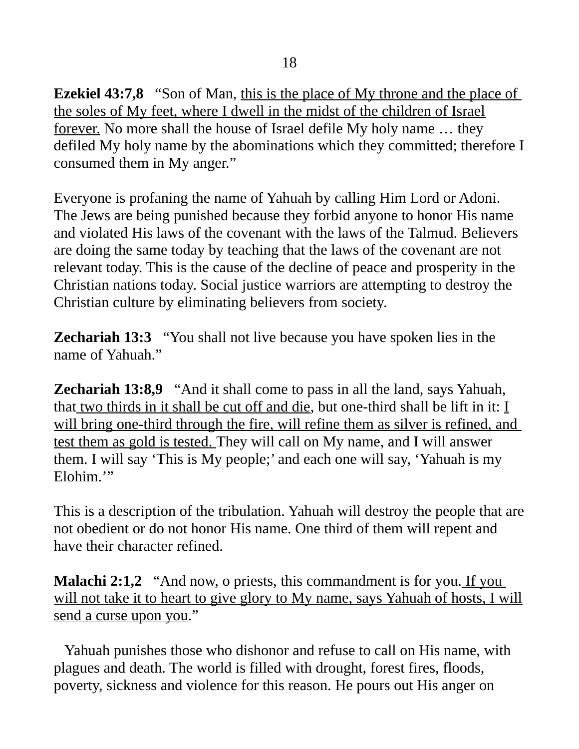**Ezekiel 43:7,8** "Son of Man, this is the place of My throne and the place of the soles of My feet, where I dwell in the midst of the children of Israel forever. No more shall the house of Israel defile My holy name … they defiled My holy name by the abominations which they committed; therefore I consumed them in My anger."

Everyone is profaning the name of Yahuah by calling Him Lord or Adoni. The Jews are being punished because they forbid anyone to honor His name and violated His laws of the covenant with the laws of the Talmud. Believers are doing the same today by teaching that the laws of the covenant are not relevant today. This is the cause of the decline of peace and prosperity in the Christian nations today. Social justice warriors are attempting to destroy the Christian culture by eliminating believers from society.

**Zechariah 13:3** "You shall not live because you have spoken lies in the name of Yahuah."

**Zechariah 13:8,9** "And it shall come to pass in all the land, says Yahuah, that two thirds in it shall be cut off and die, but one-third shall be lift in it: I will bring one-third through the fire, will refine them as silver is refined, and test them as gold is tested. They will call on My name, and I will answer them. I will say 'This is My people;' and each one will say, 'Yahuah is my Elohim.'"

This is a description of the tribulation. Yahuah will destroy the people that are not obedient or do not honor His name. One third of them will repent and have their character refined.

**Malachi 2:1,2** "And now, o priests, this commandment is for you. If you will not take it to heart to give glory to My name, says Yahuah of hosts, I will send a curse upon you."

 Yahuah punishes those who dishonor and refuse to call on His name, with plagues and death. The world is filled with drought, forest fires, floods, poverty, sickness and violence for this reason. He pours out His anger on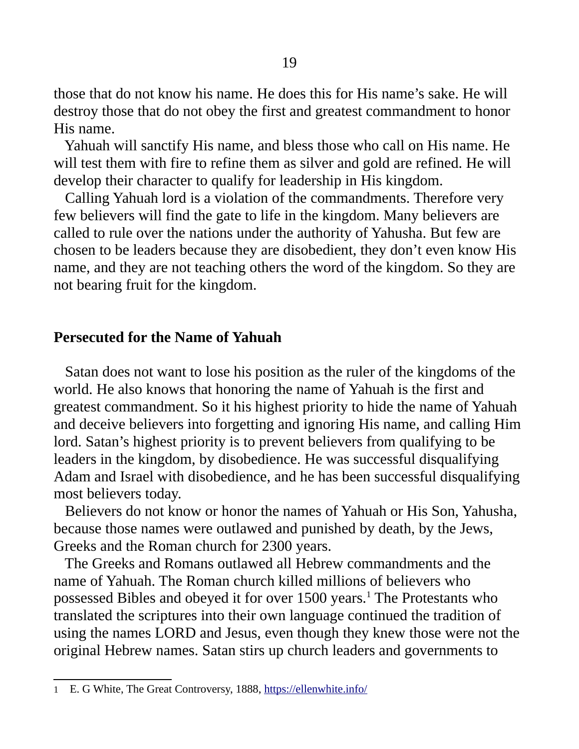those that do not know his name. He does this for His name's sake. He will destroy those that do not obey the first and greatest commandment to honor His name.

 Yahuah will sanctify His name, and bless those who call on His name. He will test them with fire to refine them as silver and gold are refined. He will develop their character to qualify for leadership in His kingdom.

 Calling Yahuah lord is a violation of the commandments. Therefore very few believers will find the gate to life in the kingdom. Many believers are called to rule over the nations under the authority of Yahusha. But few are chosen to be leaders because they are disobedient, they don't even know His name, and they are not teaching others the word of the kingdom. So they are not bearing fruit for the kingdom.

#### **Persecuted for the Name of Yahuah**

 Satan does not want to lose his position as the ruler of the kingdoms of the world. He also knows that honoring the name of Yahuah is the first and greatest commandment. So it his highest priority to hide the name of Yahuah and deceive believers into forgetting and ignoring His name, and calling Him lord. Satan's highest priority is to prevent believers from qualifying to be leaders in the kingdom, by disobedience. He was successful disqualifying Adam and Israel with disobedience, and he has been successful disqualifying most believers today.

 Believers do not know or honor the names of Yahuah or His Son, Yahusha, because those names were outlawed and punished by death, by the Jews, Greeks and the Roman church for 2300 years.

 The Greeks and Romans outlawed all Hebrew commandments and the name of Yahuah. The Roman church killed millions of believers who possessed Bibles and obeyed it for over  $1500$  $1500$  years.<sup>1</sup> The Protestants who translated the scriptures into their own language continued the tradition of using the names LORD and Jesus, even though they knew those were not the original Hebrew names. Satan stirs up church leaders and governments to

<span id="page-18-0"></span><sup>1</sup> E. G White, The Great Controversy, 1888,<https://ellenwhite.info/>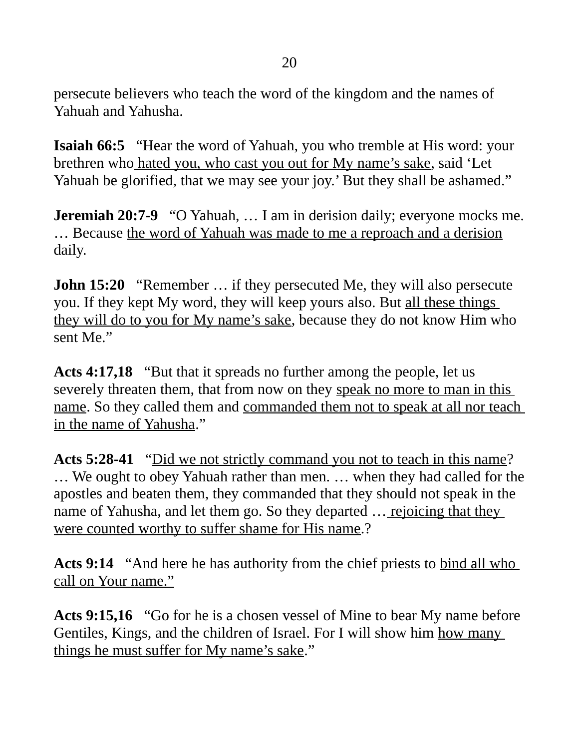persecute believers who teach the word of the kingdom and the names of Yahuah and Yahusha.

**Isaiah 66:5** "Hear the word of Yahuah, you who tremble at His word: your brethren who hated you, who cast you out for My name's sake, said 'Let Yahuah be glorified, that we may see your joy.' But they shall be ashamed."

**Jeremiah 20:7-9** "O Yahuah, ... I am in derision daily; everyone mocks me. … Because the word of Yahuah was made to me a reproach and a derision daily.

**John 15:20** "Remember ... if they persecuted Me, they will also persecute you. If they kept My word, they will keep yours also. But all these things they will do to you for My name's sake, because they do not know Him who sent Me."

**Acts 4:17,18** "But that it spreads no further among the people, let us severely threaten them, that from now on they speak no more to man in this name. So they called them and commanded them not to speak at all nor teach in the name of Yahusha."

**Acts 5:28-41** "Did we not strictly command you not to teach in this name? … We ought to obey Yahuah rather than men. … when they had called for the apostles and beaten them, they commanded that they should not speak in the name of Yahusha, and let them go. So they departed ... rejoicing that they were counted worthy to suffer shame for His name.?

Acts 9:14 "And here he has authority from the chief priests to bind all who call on Your name."

**Acts 9:15,16** "Go for he is a chosen vessel of Mine to bear My name before Gentiles, Kings, and the children of Israel. For I will show him how many things he must suffer for My name's sake."